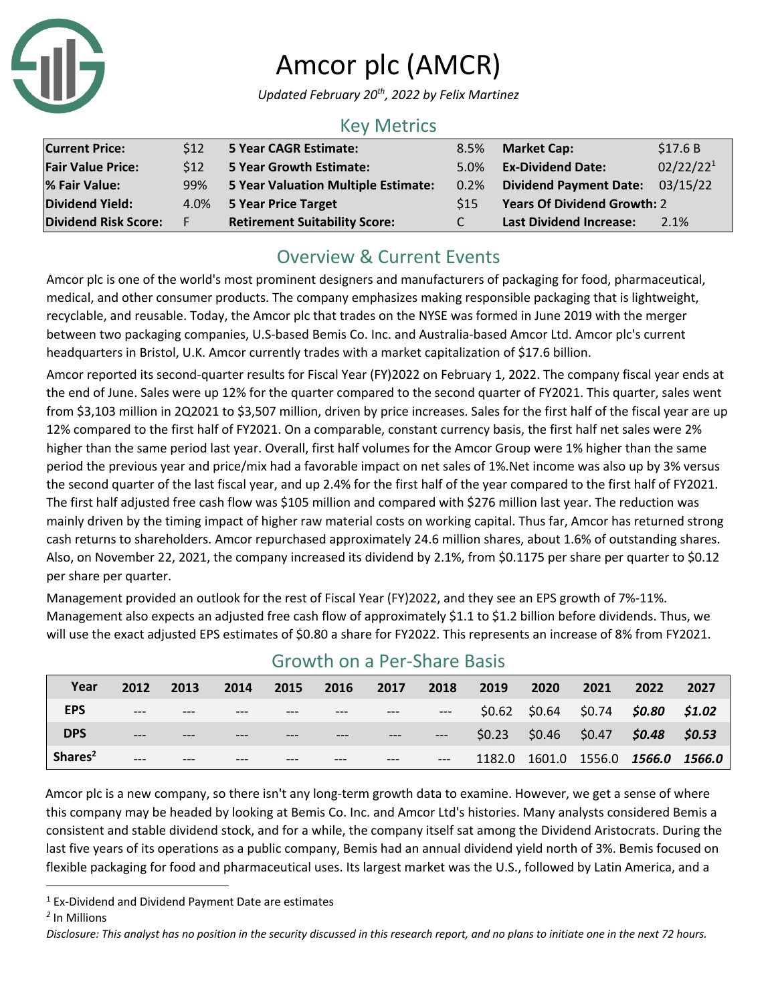

# Amcor plc (AMCR)

*Updated February 20th, 2022 by Felix Martinez*

#### Key Metrics

| <b>Current Price:</b>       | \$12 | <b>5 Year CAGR Estimate:</b>               | 8.5%            | <b>Market Cap:</b>                 | \$17.6B               |
|-----------------------------|------|--------------------------------------------|-----------------|------------------------------------|-----------------------|
| <b>Fair Value Price:</b>    | 512  | <b>5 Year Growth Estimate:</b>             | 5.0%            | <b>Ex-Dividend Date:</b>           | 02/22/22 <sup>1</sup> |
| % Fair Value:               | 99%  | <b>5 Year Valuation Multiple Estimate:</b> | $0.2\%$         | Dividend Payment Date: 03/15/22    |                       |
| <b>Dividend Yield:</b>      | 4.0% | 5 Year Price Target                        | S <sub>15</sub> | <b>Years Of Dividend Growth: 2</b> |                       |
| <b>Dividend Risk Score:</b> | F.   | <b>Retirement Suitability Score:</b>       | C               | <b>Last Dividend Increase:</b>     | 2.1%                  |

### Overview & Current Events

Amcor plc is one of the world's most prominent designers and manufacturers of packaging for food, pharmaceutical, medical, and other consumer products. The company emphasizes making responsible packaging that is lightweight, recyclable, and reusable. Today, the Amcor plc that trades on the NYSE was formed in June 2019 with the merger between two packaging companies, U.S-based Bemis Co. Inc. and Australia-based Amcor Ltd. Amcor plc's current headquarters in Bristol, U.K. Amcor currently trades with a market capitalization of \$17.6 billion.

Amcor reported its second-quarter results for Fiscal Year (FY)2022 on February 1, 2022. The company fiscal year ends at the end of June. Sales were up 12% for the quarter compared to the second quarter of FY2021. This quarter, sales went from \$3,103 million in 2Q2021 to \$3,507 million, driven by price increases. Sales for the first half of the fiscal year are up 12% compared to the first half of FY2021. On a comparable, constant currency basis, the first half net sales were 2% higher than the same period last year. Overall, first half volumes for the Amcor Group were 1% higher than the same period the previous year and price/mix had a favorable impact on net sales of 1%.Net income was also up by 3% versus the second quarter of the last fiscal year, and up 2.4% for the first half of the year compared to the first half of FY2021. The first half adjusted free cash flow was \$105 million and compared with \$276 million last year. The reduction was mainly driven by the timing impact of higher raw material costs on working capital. Thus far, Amcor has returned strong cash returns to shareholders. Amcor repurchased approximately 24.6 million shares, about 1.6% of outstanding shares. Also, on November 22, 2021, the company increased its dividend by 2.1%, from \$0.1175 per share per quarter to \$0.12 per share per quarter.

Management provided an outlook for the rest of Fiscal Year (FY)2022, and they see an EPS growth of 7%-11%. Management also expects an adjusted free cash flow of approximately \$1.1 to \$1.2 billion before dividends. Thus, we will use the exact adjusted EPS estimates of \$0.80 a share for FY2022. This represents an increase of 8% from FY2021.

| Year                | 2012  | 2013 | 2014  | 2015 | 2016 | 2017 | 2018  | 2019   | 2020                    | 2021   | 2022          | 2027   |
|---------------------|-------|------|-------|------|------|------|-------|--------|-------------------------|--------|---------------|--------|
| <b>EPS</b>          | $---$ |      | $---$ |      |      |      | $---$ |        | $$0.62$ $$0.64$ $$0.74$ |        | \$0.80        | \$1.02 |
| <b>DPS</b>          | $---$ |      |       |      |      |      | $---$ | \$0.23 | $$0.46$ $$0.47$         |        | \$0.48        | \$0.53 |
| Shares <sup>2</sup> | $---$ |      |       |      |      |      | $---$ | 1182.0 | 1601.0                  | 1556.0 | 1566.0 1566.0 |        |

### Growth on a Per-Share Basis

Amcor plc is a new company, so there isn't any long-term growth data to examine. However, we get a sense of where this company may be headed by looking at Bemis Co. Inc. and Amcor Ltd's histories. Many analysts considered Bemis a consistent and stable dividend stock, and for a while, the company itself sat among the Dividend Aristocrats. During the last five years of its operations as a public company, Bemis had an annual dividend yield north of 3%. Bemis focused on flexible packaging for food and pharmaceutical uses. Its largest market was the U.S., followed by Latin America, and a

 $1$  Ex-Dividend and Dividend Payment Date are estimates

*<sup>2</sup>* In Millions

*Disclosure: This analyst has no position in the security discussed in this research report, and no plans to initiate one in the next 72 hours.*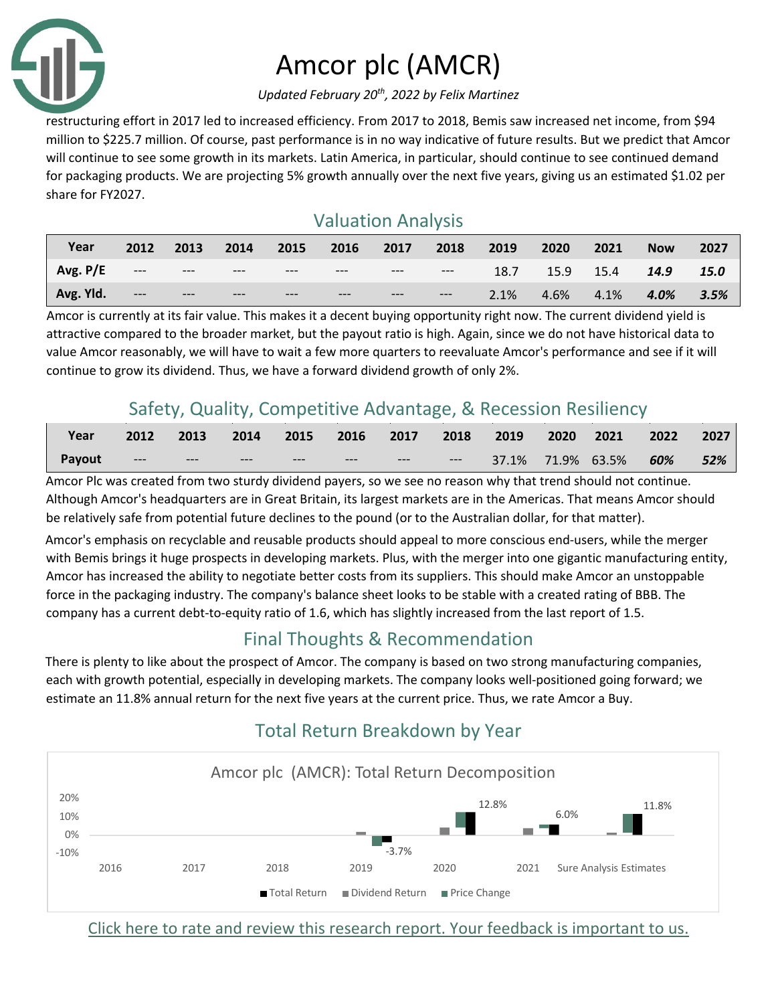

# Amcor plc (AMCR)

*Updated February 20th, 2022 by Felix Martinez*

restructuring effort in 2017 led to increased efficiency. From 2017 to 2018, Bemis saw increased net income, from \$94 million to \$225.7 million. Of course, past performance is in no way indicative of future results. But we predict that Amcor will continue to see some growth in its markets. Latin America, in particular, should continue to see continued demand for packaging products. We are projecting 5% growth annually over the next five years, giving us an estimated \$1.02 per share for FY2027.

### Valuation Analysis

| Year       | 2012                 | 2013  | 2014  | 2015  | 2016  | 2017  | 2018  | 2019 | 2020 | 2021 | <b>Now</b> | 2027 |
|------------|----------------------|-------|-------|-------|-------|-------|-------|------|------|------|------------|------|
| Avg. $P/E$ | $\sim$ 100 mm $\sim$ | $---$ | $---$ | $---$ | $---$ | $---$ | $---$ | 18.7 | 15.9 | 15.4 | 14.9       | 15.0 |
| Avg. Yld.  | $---$                | $---$ | $---$ | $---$ | $---$ | $---$ | $---$ | 2.1% | 4.6% | 4.1% | 4.0%       | 3.5% |

Amcor is currently at its fair value. This makes it a decent buying opportunity right now. The current dividend yield is attractive compared to the broader market, but the payout ratio is high. Again, since we do not have historical data to value Amcor reasonably, we will have to wait a few more quarters to reevaluate Amcor's performance and see if it will continue to grow its dividend. Thus, we have a forward dividend growth of only 2%.

## Safety, Quality, Competitive Advantage, & Recession Resiliency

| Year   | 2012  | 2013  | $\sqrt{2014}$ | 2015  | 2016  | 2017  | $\sim$ 2018 | 2019              | 2020 | $\sqrt{2021}$ | 2022    | 2027 |
|--------|-------|-------|---------------|-------|-------|-------|-------------|-------------------|------|---------------|---------|------|
| Payout | $---$ | $---$ | $---$         | $---$ | $---$ | $---$ | $---$       | 37.1% 71.9% 63.5% |      |               | $-60\%$ | 52%  |

Amcor Plc was created from two sturdy dividend payers, so we see no reason why that trend should not continue. Although Amcor's headquarters are in Great Britain, its largest markets are in the Americas. That means Amcor should be relatively safe from potential future declines to the pound (or to the Australian dollar, for that matter).

Amcor's emphasis on recyclable and reusable products should appeal to more conscious end-users, while the merger with Bemis brings it huge prospects in developing markets. Plus, with the merger into one gigantic manufacturing entity, Amcor has increased the ability to negotiate better costs from its suppliers. This should make Amcor an unstoppable force in the packaging industry. The company's balance sheet looks to be stable with a created rating of BBB. The company has a current debt-to-equity ratio of 1.6, which has slightly increased from the last report of 1.5.

## Final Thoughts & Recommendation

There is plenty to like about the prospect of Amcor. The company is based on two strong manufacturing companies, each with growth potential, especially in developing markets. The company looks well-positioned going forward; we estimate an 11.8% annual return for the next five years at the current price. Thus, we rate Amcor a Buy.

#### -3.7% 12.8% 6.0% 11.8% -10% 0% 10% 20% 2016 2017 2018 2019 2020 2021 Sure Analysis Estimates Amcor plc (AMCR): Total Return Decomposition ■ Total Return ■ Dividend Return ■ Price Change

## Total Return Breakdown by Year

Click here to rate and review this research report. Your feedback is important to us.